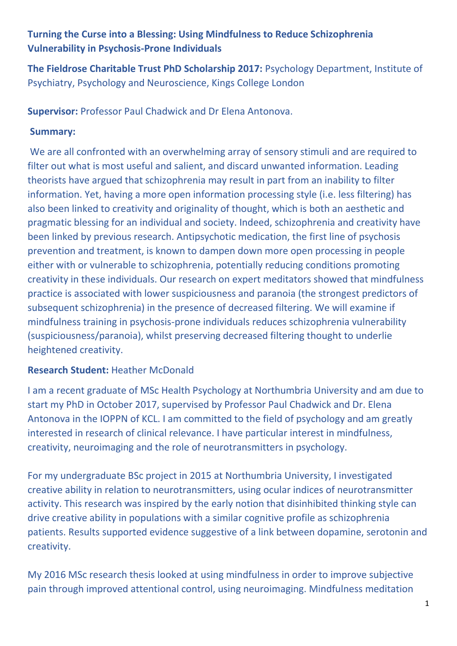# **Turning the Curse into a Blessing: Using Mindfulness to Reduce Schizophrenia Vulnerability in Psychosis-Prone Individuals**

**The Fieldrose Charitable Trust PhD Scholarship 2017:** Psychology Department, Institute of Psychiatry, Psychology and Neuroscience, Kings College London

**Supervisor:** Professor Paul Chadwick and Dr Elena Antonova.

#### **Summary:**

We are all confronted with an overwhelming array of sensory stimuli and are required to filter out what is most useful and salient, and discard unwanted information. Leading theorists have argued that schizophrenia may result in part from an inability to filter information. Yet, having a more open information processing style (i.e. less filtering) has also been linked to creativity and originality of thought, which is both an aesthetic and pragmatic blessing for an individual and society. Indeed, schizophrenia and creativity have been linked by previous research. Antipsychotic medication, the first line of psychosis prevention and treatment, is known to dampen down more open processing in people either with or vulnerable to schizophrenia, potentially reducing conditions promoting creativity in these individuals. Our research on expert meditators showed that mindfulness practice is associated with lower suspiciousness and paranoia (the strongest predictors of subsequent schizophrenia) in the presence of decreased filtering. We will examine if mindfulness training in psychosis-prone individuals reduces schizophrenia vulnerability (suspiciousness/paranoia), whilst preserving decreased filtering thought to underlie heightened creativity.

## **Research Student:** Heather McDonald

I am a recent graduate of MSc Health Psychology at Northumbria University and am due to start my PhD in October 2017, supervised by Professor Paul Chadwick and Dr. Elena Antonova in the IOPPN of KCL. I am committed to the field of psychology and am greatly interested in research of clinical relevance. I have particular interest in mindfulness, creativity, neuroimaging and the role of neurotransmitters in psychology.

For my undergraduate BSc project in 2015 at Northumbria University, I investigated creative ability in relation to neurotransmitters, using ocular indices of neurotransmitter activity. This research was inspired by the early notion that disinhibited thinking style can drive creative ability in populations with a similar cognitive profile as schizophrenia patients. Results supported evidence suggestive of a link between dopamine, serotonin and creativity.

My 2016 MSc research thesis looked at using mindfulness in order to improve subjective pain through improved attentional control, using neuroimaging. Mindfulness meditation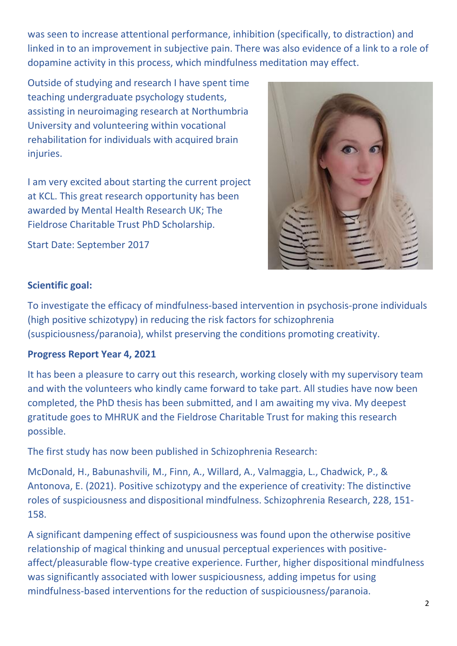was seen to increase attentional performance, inhibition (specifically, to distraction) and linked in to an improvement in subjective pain. There was also evidence of a link to a role of dopamine activity in this process, which mindfulness meditation may effect.

Outside of studying and research I have spent time teaching undergraduate psychology students, assisting in neuroimaging research at Northumbria University and volunteering within vocational rehabilitation for individuals with acquired brain injuries.

I am very excited about starting the current project at KCL. This great research opportunity has been awarded by Mental Health Research UK; The Fieldrose Charitable Trust PhD Scholarship.

Start Date: September 2017



#### **Scientific goal:**

To investigate the efficacy of mindfulness-based intervention in psychosis-prone individuals (high positive schizotypy) in reducing the risk factors for schizophrenia (suspiciousness/paranoia), whilst preserving the conditions promoting creativity.

## **Progress Report Year 4, 2021**

It has been a pleasure to carry out this research, working closely with my supervisory team and with the volunteers who kindly came forward to take part. All studies have now been completed, the PhD thesis has been submitted, and I am awaiting my viva. My deepest gratitude goes to MHRUK and the Fieldrose Charitable Trust for making this research possible.

The first study has now been published in Schizophrenia Research:

McDonald, H., Babunashvili, M., Finn, A., Willard, A., Valmaggia, L., Chadwick, P., & Antonova, E. (2021). Positive schizotypy and the experience of creativity: The distinctive roles of suspiciousness and dispositional mindfulness. Schizophrenia Research, 228, 151- 158.

A significant dampening effect of suspiciousness was found upon the otherwise positive relationship of magical thinking and unusual perceptual experiences with positiveaffect/pleasurable flow-type creative experience. Further, higher dispositional mindfulness was significantly associated with lower suspiciousness, adding impetus for using mindfulness-based interventions for the reduction of suspiciousness/paranoia.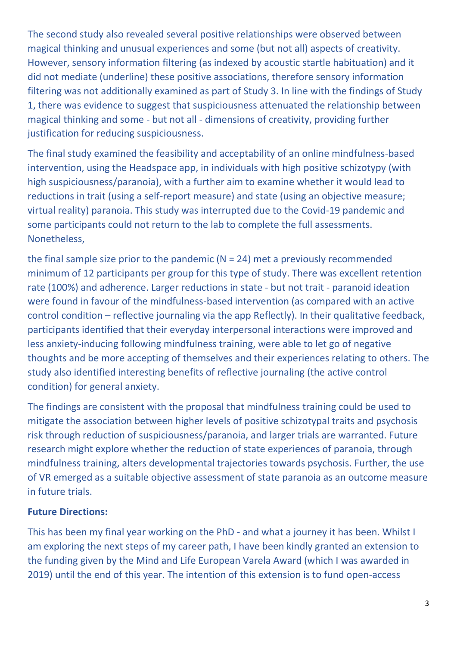The second study also revealed several positive relationships were observed between magical thinking and unusual experiences and some (but not all) aspects of creativity. However, sensory information filtering (as indexed by acoustic startle habituation) and it did not mediate (underline) these positive associations, therefore sensory information filtering was not additionally examined as part of Study 3. In line with the findings of Study 1, there was evidence to suggest that suspiciousness attenuated the relationship between magical thinking and some - but not all - dimensions of creativity, providing further justification for reducing suspiciousness.

The final study examined the feasibility and acceptability of an online mindfulness-based intervention, using the Headspace app, in individuals with high positive schizotypy (with high suspiciousness/paranoia), with a further aim to examine whether it would lead to reductions in trait (using a self-report measure) and state (using an objective measure; virtual reality) paranoia. This study was interrupted due to the Covid-19 pandemic and some participants could not return to the lab to complete the full assessments. Nonetheless,

the final sample size prior to the pandemic  $(N = 24)$  met a previously recommended minimum of 12 participants per group for this type of study. There was excellent retention rate (100%) and adherence. Larger reductions in state - but not trait - paranoid ideation were found in favour of the mindfulness-based intervention (as compared with an active control condition – reflective journaling via the app Reflectly). In their qualitative feedback, participants identified that their everyday interpersonal interactions were improved and less anxiety-inducing following mindfulness training, were able to let go of negative thoughts and be more accepting of themselves and their experiences relating to others. The study also identified interesting benefits of reflective journaling (the active control condition) for general anxiety.

The findings are consistent with the proposal that mindfulness training could be used to mitigate the association between higher levels of positive schizotypal traits and psychosis risk through reduction of suspiciousness/paranoia, and larger trials are warranted. Future research might explore whether the reduction of state experiences of paranoia, through mindfulness training, alters developmental trajectories towards psychosis. Further, the use of VR emerged as a suitable objective assessment of state paranoia as an outcome measure in future trials.

## **Future Directions:**

This has been my final year working on the PhD - and what a journey it has been. Whilst I am exploring the next steps of my career path, I have been kindly granted an extension to the funding given by the Mind and Life European Varela Award (which I was awarded in 2019) until the end of this year. The intention of this extension is to fund open-access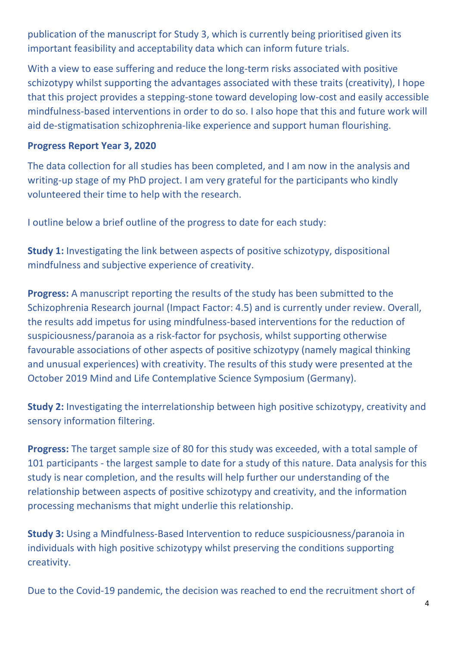publication of the manuscript for Study 3, which is currently being prioritised given its important feasibility and acceptability data which can inform future trials.

With a view to ease suffering and reduce the long-term risks associated with positive schizotypy whilst supporting the advantages associated with these traits (creativity), I hope that this project provides a stepping-stone toward developing low-cost and easily accessible mindfulness-based interventions in order to do so. I also hope that this and future work will aid de-stigmatisation schizophrenia-like experience and support human flourishing.

#### **Progress Report Year 3, 2020**

The data collection for all studies has been completed, and I am now in the analysis and writing-up stage of my PhD project. I am very grateful for the participants who kindly volunteered their time to help with the research.

I outline below a brief outline of the progress to date for each study:

**Study 1:** Investigating the link between aspects of positive schizotypy, dispositional mindfulness and subjective experience of creativity.

**Progress:** A manuscript reporting the results of the study has been submitted to the Schizophrenia Research journal (Impact Factor: 4.5) and is currently under review. Overall, the results add impetus for using mindfulness-based interventions for the reduction of suspiciousness/paranoia as a risk-factor for psychosis, whilst supporting otherwise favourable associations of other aspects of positive schizotypy (namely magical thinking and unusual experiences) with creativity. The results of this study were presented at the October 2019 Mind and Life Contemplative Science Symposium (Germany).

**Study 2:** Investigating the interrelationship between high positive schizotypy, creativity and sensory information filtering.

**Progress:** The target sample size of 80 for this study was exceeded, with a total sample of 101 participants - the largest sample to date for a study of this nature. Data analysis for this study is near completion, and the results will help further our understanding of the relationship between aspects of positive schizotypy and creativity, and the information processing mechanisms that might underlie this relationship.

**Study 3:** Using a Mindfulness-Based Intervention to reduce suspiciousness/paranoia in individuals with high positive schizotypy whilst preserving the conditions supporting creativity.

Due to the Covid-19 pandemic, the decision was reached to end the recruitment short of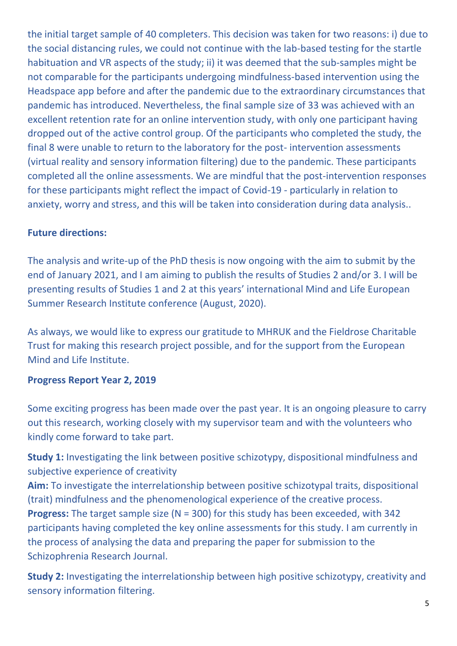the initial target sample of 40 completers. This decision was taken for two reasons: i) due to the social distancing rules, we could not continue with the lab-based testing for the startle habituation and VR aspects of the study; ii) it was deemed that the sub-samples might be not comparable for the participants undergoing mindfulness-based intervention using the Headspace app before and after the pandemic due to the extraordinary circumstances that pandemic has introduced. Nevertheless, the final sample size of 33 was achieved with an excellent retention rate for an online intervention study, with only one participant having dropped out of the active control group. Of the participants who completed the study, the final 8 were unable to return to the laboratory for the post- intervention assessments (virtual reality and sensory information filtering) due to the pandemic. These participants completed all the online assessments. We are mindful that the post-intervention responses for these participants might reflect the impact of Covid-19 - particularly in relation to anxiety, worry and stress, and this will be taken into consideration during data analysis..

## **Future directions:**

The analysis and write-up of the PhD thesis is now ongoing with the aim to submit by the end of January 2021, and I am aiming to publish the results of Studies 2 and/or 3. I will be presenting results of Studies 1 and 2 at this years' international Mind and Life European Summer Research Institute conference (August, 2020).

As always, we would like to express our gratitude to MHRUK and the Fieldrose Charitable Trust for making this research project possible, and for the support from the European Mind and Life Institute.

## **Progress Report Year 2, 2019**

Some exciting progress has been made over the past year. It is an ongoing pleasure to carry out this research, working closely with my supervisor team and with the volunteers who kindly come forward to take part.

**Study 1:** Investigating the link between positive schizotypy, dispositional mindfulness and subjective experience of creativity

**Aim:** To investigate the interrelationship between positive schizotypal traits, dispositional (trait) mindfulness and the phenomenological experience of the creative process. **Progress:** The target sample size (N = 300) for this study has been exceeded, with 342 participants having completed the key online assessments for this study. I am currently in the process of analysing the data and preparing the paper for submission to the Schizophrenia Research Journal.

**Study 2:** Investigating the interrelationship between high positive schizotypy, creativity and sensory information filtering.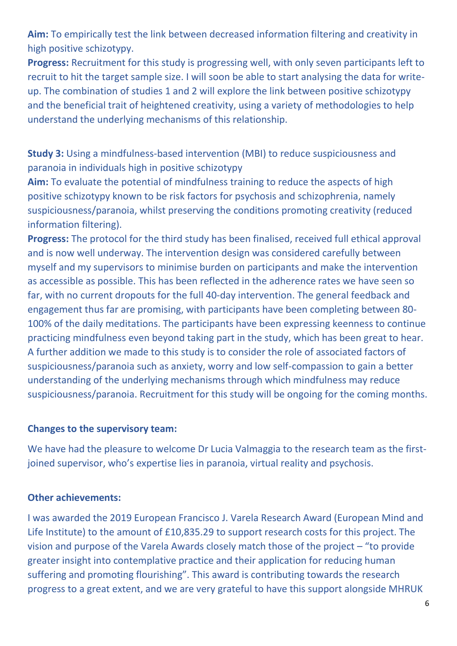**Aim:** To empirically test the link between decreased information filtering and creativity in high positive schizotypy.

**Progress:** Recruitment for this study is progressing well, with only seven participants left to recruit to hit the target sample size. I will soon be able to start analysing the data for writeup. The combination of studies 1 and 2 will explore the link between positive schizotypy and the beneficial trait of heightened creativity, using a variety of methodologies to help understand the underlying mechanisms of this relationship.

**Study 3:** Using a mindfulness-based intervention (MBI) to reduce suspiciousness and paranoia in individuals high in positive schizotypy

**Aim:** To evaluate the potential of mindfulness training to reduce the aspects of high positive schizotypy known to be risk factors for psychosis and schizophrenia, namely suspiciousness/paranoia, whilst preserving the conditions promoting creativity (reduced information filtering).

**Progress:** The protocol for the third study has been finalised, received full ethical approval and is now well underway. The intervention design was considered carefully between myself and my supervisors to minimise burden on participants and make the intervention as accessible as possible. This has been reflected in the adherence rates we have seen so far, with no current dropouts for the full 40-day intervention. The general feedback and engagement thus far are promising, with participants have been completing between 80- 100% of the daily meditations. The participants have been expressing keenness to continue practicing mindfulness even beyond taking part in the study, which has been great to hear. A further addition we made to this study is to consider the role of associated factors of suspiciousness/paranoia such as anxiety, worry and low self-compassion to gain a better understanding of the underlying mechanisms through which mindfulness may reduce suspiciousness/paranoia. Recruitment for this study will be ongoing for the coming months.

#### **Changes to the supervisory team:**

We have had the pleasure to welcome Dr Lucia Valmaggia to the research team as the firstjoined supervisor, who's expertise lies in paranoia, virtual reality and psychosis.

#### **Other achievements:**

I was awarded the 2019 European Francisco J. Varela Research Award (European Mind and Life Institute) to the amount of £10,835.29 to support research costs for this project. The vision and purpose of the Varela Awards closely match those of the project – "to provide greater insight into contemplative practice and their application for reducing human suffering and promoting flourishing". This award is contributing towards the research progress to a great extent, and we are very grateful to have this support alongside MHRUK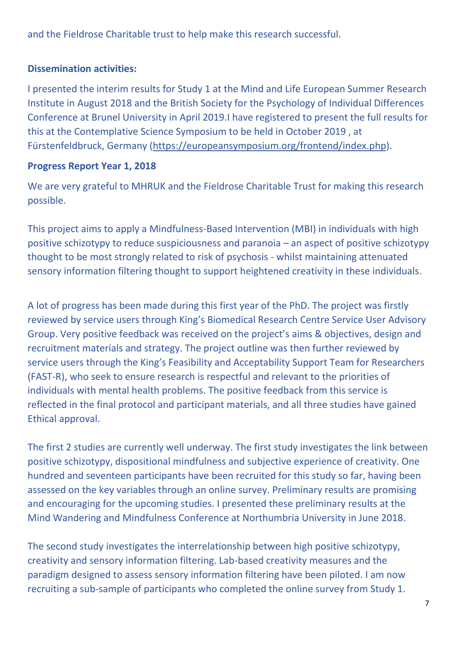and the Fieldrose Charitable trust to help make this research successful.

## **Dissemination activities:**

I presented the interim results for Study 1 at the Mind and Life European Summer Research Institute in August 2018 and the British Society for the Psychology of Individual Differences Conference at Brunel University in April 2019.I have registered to present the full results for this at the Contemplative Science Symposium to be held in October 2019 , at Fürstenfeldbruck, Germany [\(https://europeansymposium.org/frontend/index.php\)](https://europeansymposium.org/frontend/index.php).

## **Progress Report Year 1, 2018**

We are very grateful to MHRUK and the Fieldrose Charitable Trust for making this research possible.

This project aims to apply a Mindfulness-Based Intervention (MBI) in individuals with high positive schizotypy to reduce suspiciousness and paranoia – an aspect of positive schizotypy thought to be most strongly related to risk of psychosis - whilst maintaining attenuated sensory information filtering thought to support heightened creativity in these individuals.

A lot of progress has been made during this first year of the PhD. The project was firstly reviewed by service users through King's Biomedical Research Centre Service User Advisory Group. Very positive feedback was received on the project's aims & objectives, design and recruitment materials and strategy. The project outline was then further reviewed by service users through the King's Feasibility and Acceptability Support Team for Researchers (FAST-R), who seek to ensure research is respectful and relevant to the priorities of individuals with mental health problems. The positive feedback from this service is reflected in the final protocol and participant materials, and all three studies have gained Ethical approval.

The first 2 studies are currently well underway. The first study investigates the link between positive schizotypy, dispositional mindfulness and subjective experience of creativity. One hundred and seventeen participants have been recruited for this study so far, having been assessed on the key variables through an online survey. Preliminary results are promising and encouraging for the upcoming studies. I presented these preliminary results at the Mind Wandering and Mindfulness Conference at Northumbria University in June 2018.

The second study investigates the interrelationship between high positive schizotypy, creativity and sensory information filtering. Lab-based creativity measures and the paradigm designed to assess sensory information filtering have been piloted. I am now recruiting a sub-sample of participants who completed the online survey from Study 1.